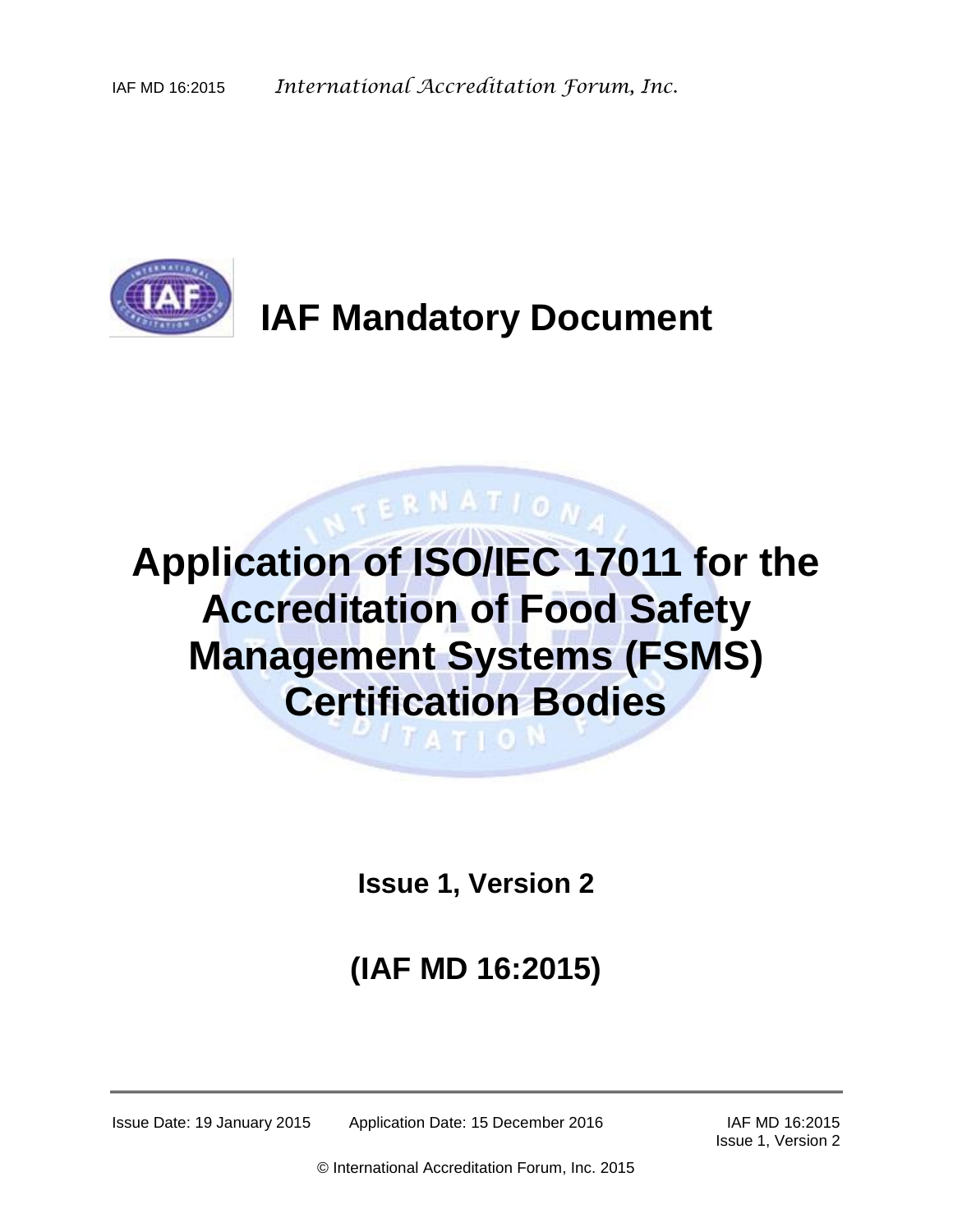

# **IAF Mandatory Document**

# **Application of ISO/IEC 17011 for the Accreditation of Food Safety Management Systems (FSMS) Certification Bodies THE GAS**

**ERNATION** 

**Issue 1, Version 2**

# **(IAF MD 16:2015)**

Issue Date: 19 January 2015 Application Date: 15 December 2016 IAF MD 16:2015

Issue 1, Version 2

© International Accreditation Forum, Inc. 2015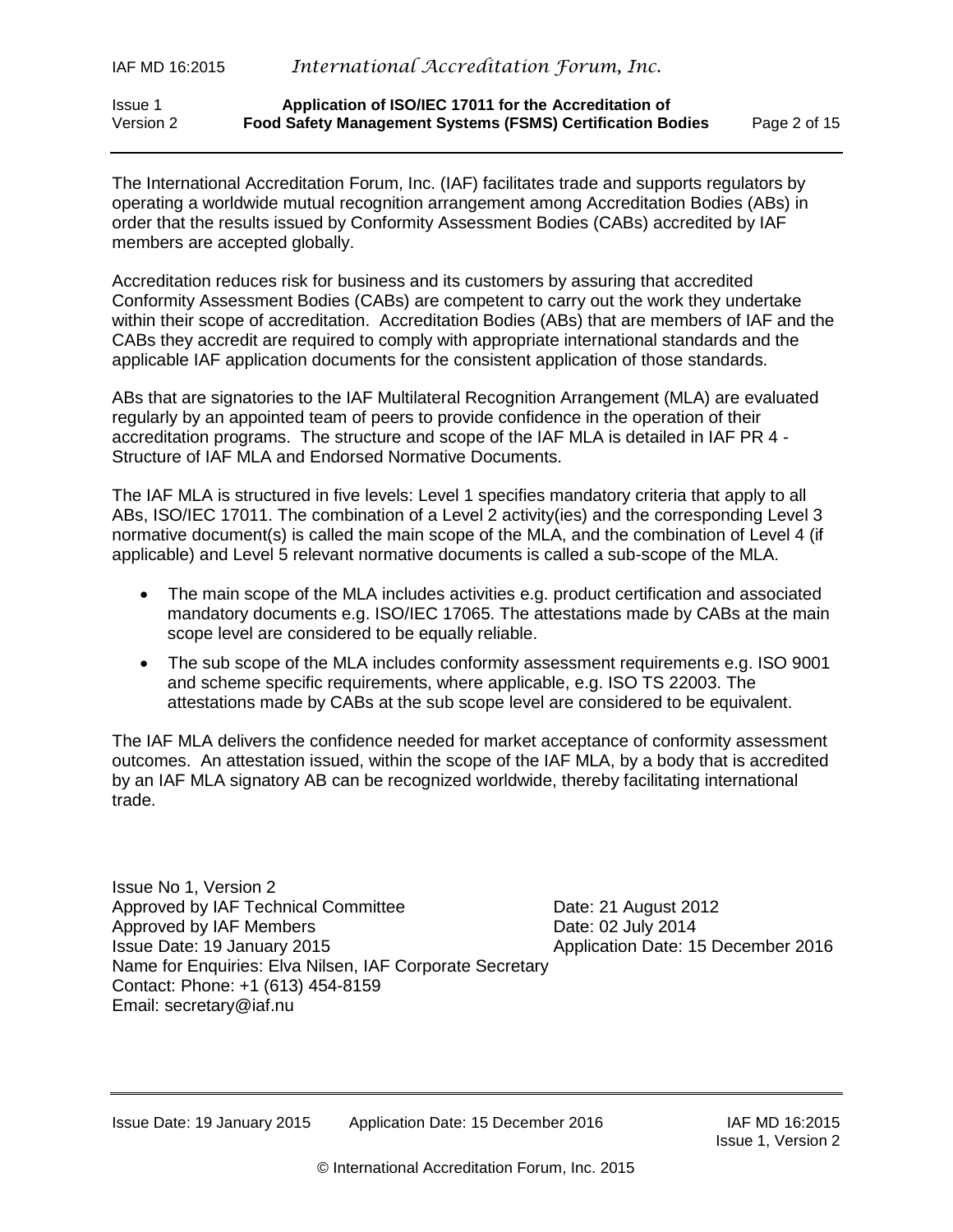#### Issue 1 **Application of ISO/IEC 17011 for the Accreditation of** Version 2 **Food Safety Management Systems (FSMS) Certification Bodies** Page 2 of 15

The International Accreditation Forum, Inc. (IAF) facilitates trade and supports regulators by operating a worldwide mutual recognition arrangement among Accreditation Bodies (ABs) in order that the results issued by Conformity Assessment Bodies (CABs) accredited by IAF members are accepted globally.

Accreditation reduces risk for business and its customers by assuring that accredited Conformity Assessment Bodies (CABs) are competent to carry out the work they undertake within their scope of accreditation. Accreditation Bodies (ABs) that are members of IAF and the CABs they accredit are required to comply with appropriate international standards and the applicable IAF application documents for the consistent application of those standards.

ABs that are signatories to the IAF Multilateral Recognition Arrangement (MLA) are evaluated regularly by an appointed team of peers to provide confidence in the operation of their accreditation programs. The structure and scope of the IAF MLA is detailed in IAF PR 4 - Structure of IAF MLA and Endorsed Normative Documents.

The IAF MLA is structured in five levels: Level 1 specifies mandatory criteria that apply to all ABs, ISO/IEC 17011. The combination of a Level 2 activity(ies) and the corresponding Level 3 normative document(s) is called the main scope of the MLA, and the combination of Level 4 (if applicable) and Level 5 relevant normative documents is called a sub-scope of the MLA.

- The main scope of the MLA includes activities e.g. product certification and associated mandatory documents e.g. ISO/IEC 17065. The attestations made by CABs at the main scope level are considered to be equally reliable.
- The sub scope of the MLA includes conformity assessment requirements e.g. ISO 9001 and scheme specific requirements, where applicable, e.g. ISO TS 22003. The attestations made by CABs at the sub scope level are considered to be equivalent.

The IAF MLA delivers the confidence needed for market acceptance of conformity assessment outcomes. An attestation issued, within the scope of the IAF MLA, by a body that is accredited by an IAF MLA signatory AB can be recognized worldwide, thereby facilitating international trade.

Issue No 1, Version 2 Approved by IAF Technical Committee **Date: 21 August 2012** Approved by IAF Members **Date: 02 July 2014** Issue Date: 19 January 2015 Application Date: 15 December 2016 Name for Enquiries: Elva Nilsen, IAF Corporate Secretary Contact: Phone: +1 (613) 454-8159 Email: [secretary@iaf.nu](mailto:secretary@iaf.nu)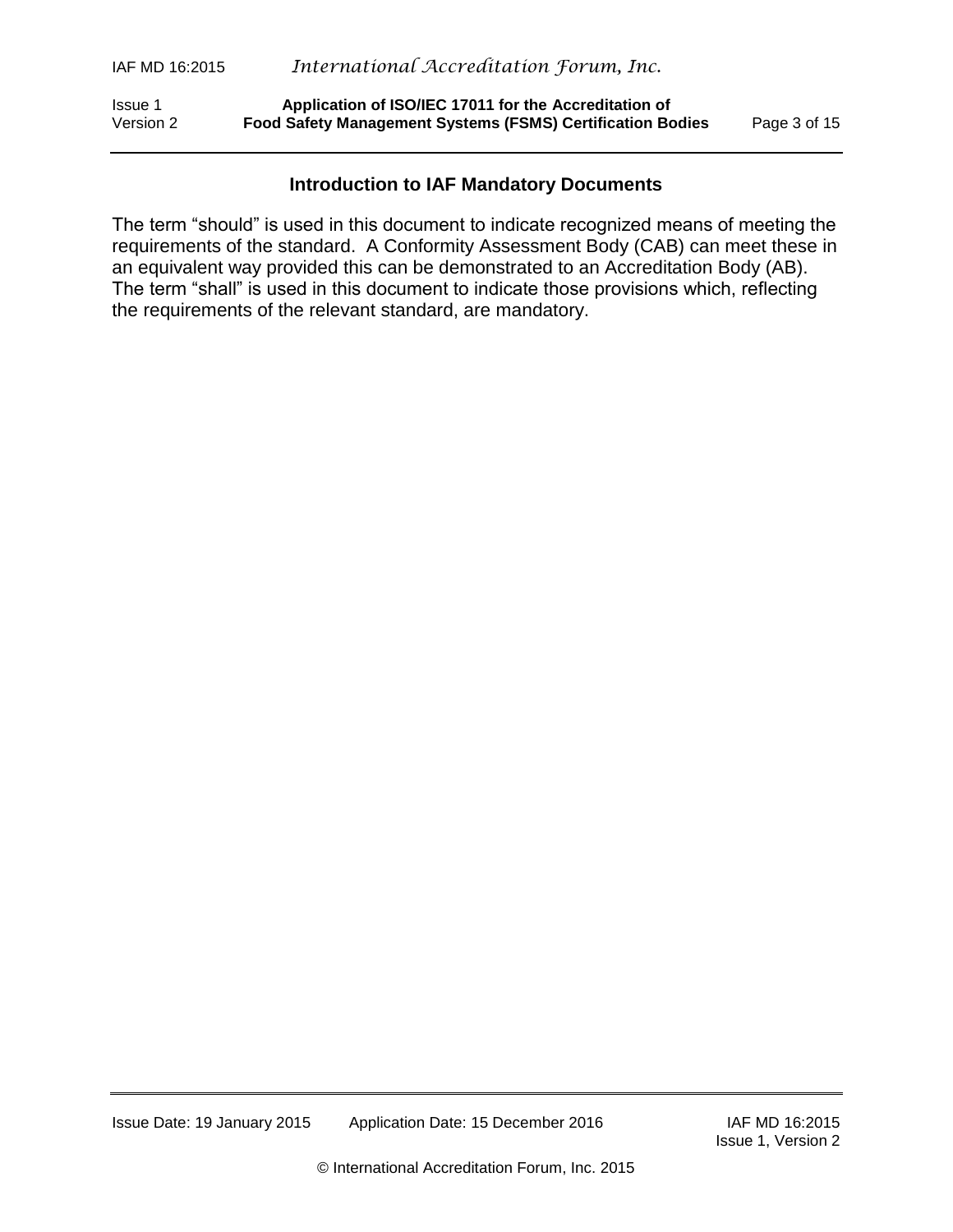Issue 1 **Application of ISO/IEC 17011 for the Accreditation of** Version 2 **Food Safety Management Systems (FSMS) Certification Bodies** Page 3 of 15

#### **Introduction to IAF Mandatory Documents**

The term "should" is used in this document to indicate recognized means of meeting the requirements of the standard. A Conformity Assessment Body (CAB) can meet these in an equivalent way provided this can be demonstrated to an Accreditation Body (AB). The term "shall" is used in this document to indicate those provisions which, reflecting the requirements of the relevant standard, are mandatory.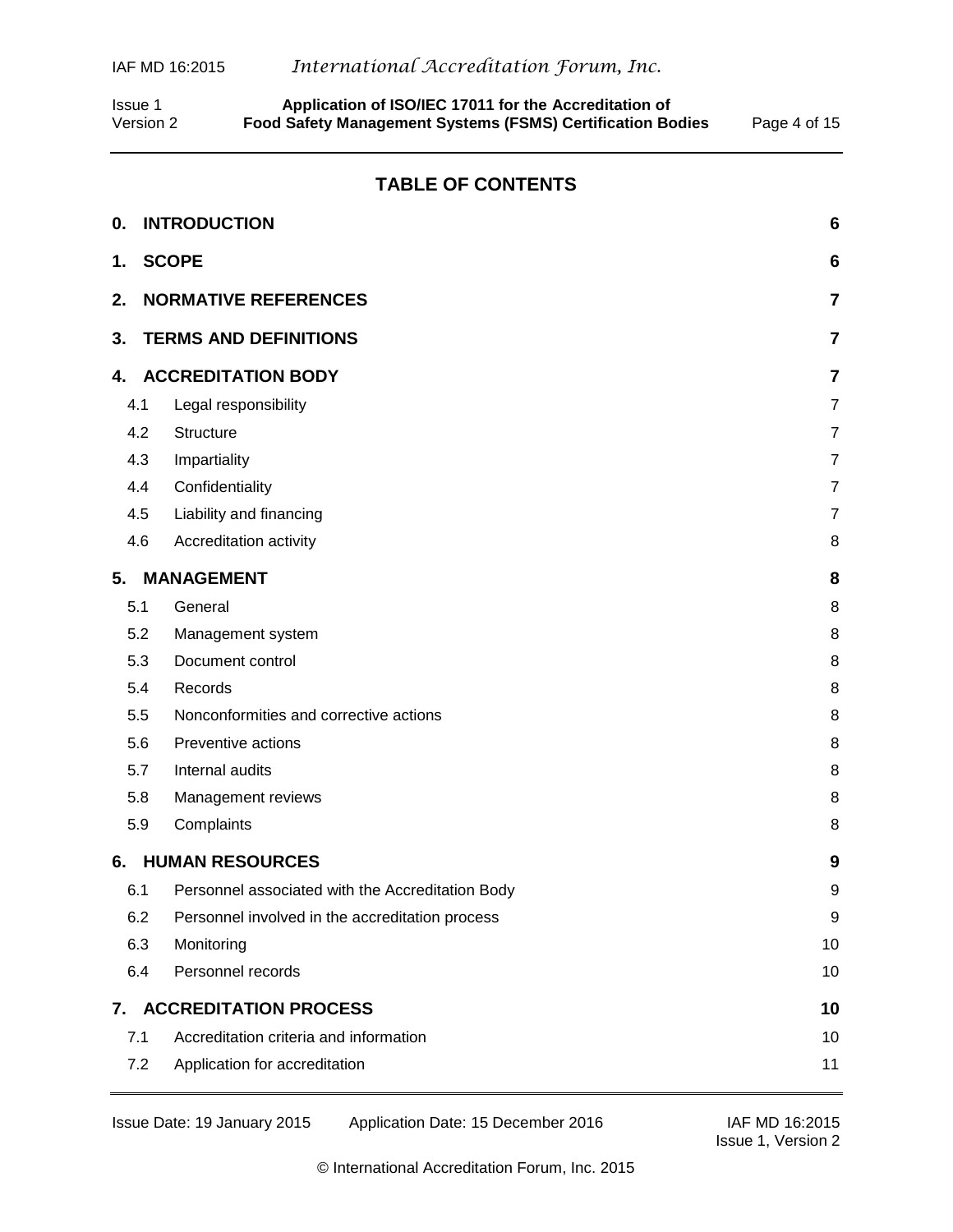Issue 1 **Application of ISO/IEC 17011 for the Accreditation of** Version 2 **Food Safety Management Systems (FSMS) Certification Bodies** Page 4 of 15

#### **TABLE OF CONTENTS**

| 0.  | <b>INTRODUCTION</b>                              | 6              |
|-----|--------------------------------------------------|----------------|
| 1.  | <b>SCOPE</b>                                     | 6              |
| 2.  | <b>NORMATIVE REFERENCES</b>                      | 7              |
| 3.  | <b>TERMS AND DEFINITIONS</b>                     | 7              |
| 4.  | <b>ACCREDITATION BODY</b>                        | 7              |
| 4.1 | Legal responsibility                             | 7              |
| 4.2 | Structure                                        | $\overline{7}$ |
| 4.3 | Impartiality                                     | $\overline{7}$ |
| 4.4 | Confidentiality                                  | $\overline{7}$ |
| 4.5 | Liability and financing                          | $\overline{7}$ |
| 4.6 | Accreditation activity                           | 8              |
| 5.  | <b>MANAGEMENT</b>                                | 8              |
| 5.1 | General                                          | 8              |
| 5.2 | Management system                                | 8              |
| 5.3 | Document control                                 | 8              |
| 5.4 | Records                                          | 8              |
| 5.5 | Nonconformities and corrective actions           | 8              |
| 5.6 | Preventive actions                               | 8              |
| 5.7 | Internal audits                                  | 8              |
| 5.8 | Management reviews                               | 8              |
| 5.9 | Complaints                                       | 8              |
| 6.  | <b>HUMAN RESOURCES</b>                           | 9              |
| 6.1 | Personnel associated with the Accreditation Body | 9              |
| 6.2 | Personnel involved in the accreditation process  | 9              |
| 6.3 | Monitoring                                       | 10             |
| 6.4 | Personnel records                                | 10             |
| 7.  | <b>ACCREDITATION PROCESS</b>                     | 10             |
| 7.1 | Accreditation criteria and information           | 10             |
| 7.2 | Application for accreditation                    | 11             |

Issue 1, Version 2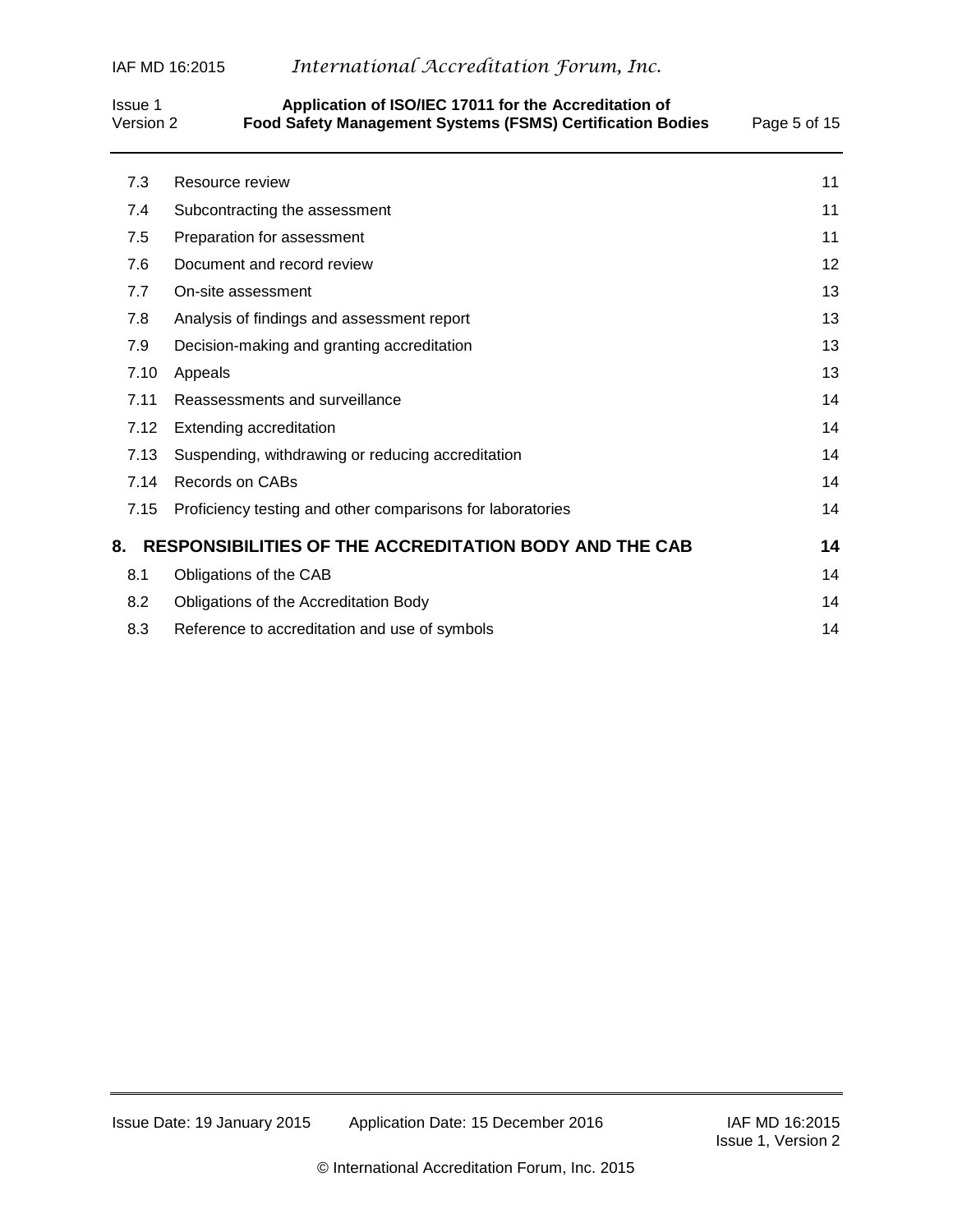# IAF MD 16:2015 *International Accreditation Forum, Inc.*

## Issue 1 **Application of ISO/IEC 17011 for the Accreditation of** Version 2 **Food Safety Management Systems (FSMS) Certification Bodies** Page 5 of 15

| 7.3  | Resource review                                               | 11 |
|------|---------------------------------------------------------------|----|
| 7.4  | Subcontracting the assessment                                 | 11 |
| 7.5  | Preparation for assessment                                    | 11 |
| 7.6  | Document and record review                                    | 12 |
| 7.7  | On-site assessment                                            | 13 |
| 7.8  | Analysis of findings and assessment report                    | 13 |
| 7.9  | Decision-making and granting accreditation                    | 13 |
| 7.10 | Appeals                                                       | 13 |
| 7.11 | Reassessments and surveillance                                | 14 |
| 7.12 | <b>Extending accreditation</b>                                | 14 |
| 7.13 | Suspending, withdrawing or reducing accreditation             | 14 |
| 7.14 | Records on CABs                                               | 14 |
| 7.15 | Proficiency testing and other comparisons for laboratories    | 14 |
| 8.   | <b>RESPONSIBILITIES OF THE ACCREDITATION BODY AND THE CAB</b> | 14 |
| 8.1  | Obligations of the CAB                                        | 14 |
| 8.2  | Obligations of the Accreditation Body                         | 14 |
| 8.3  | Reference to accreditation and use of symbols                 | 14 |
|      |                                                               |    |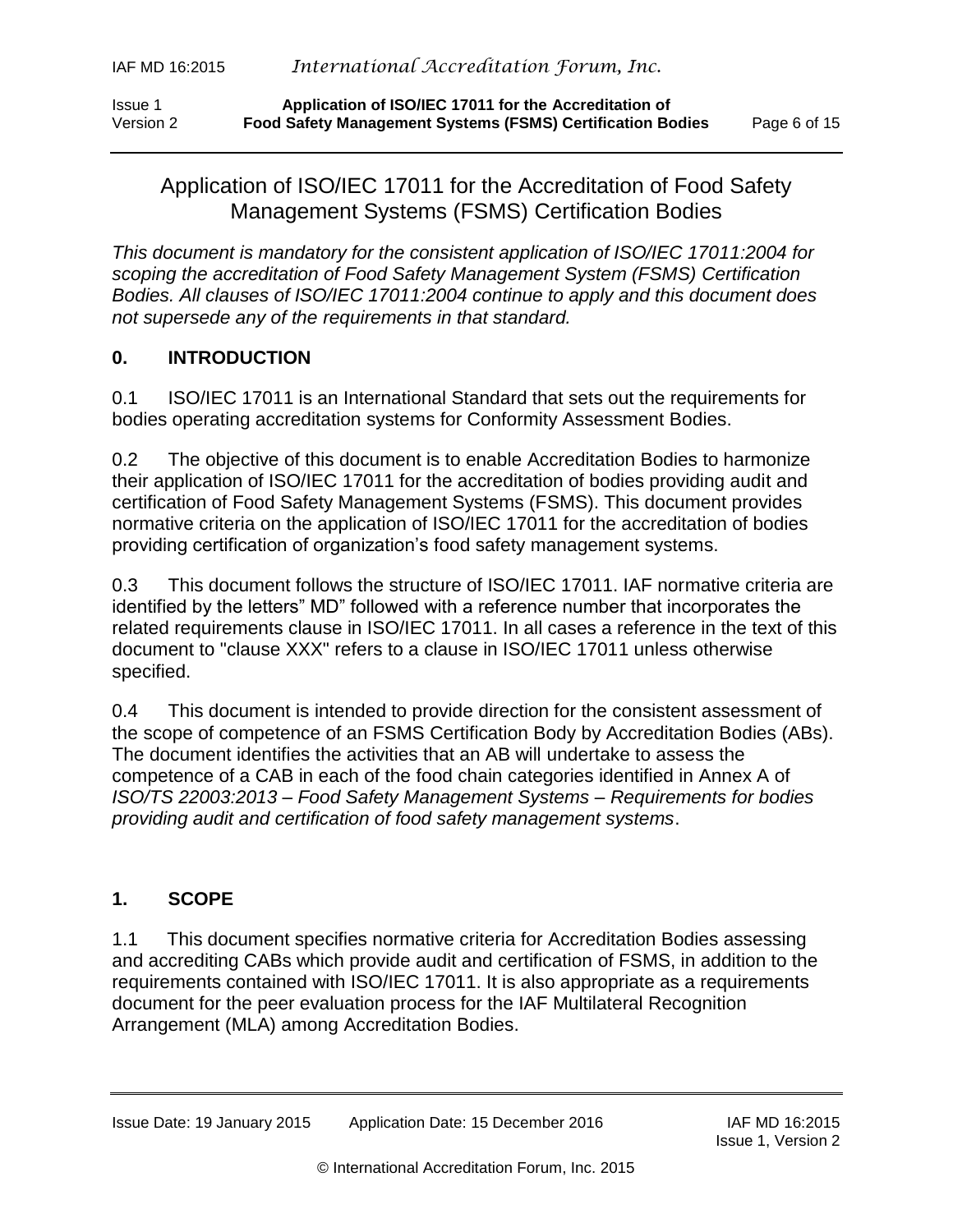# Application of ISO/IEC 17011 for the Accreditation of Food Safety Management Systems (FSMS) Certification Bodies

*This document is mandatory for the consistent application of ISO/IEC 17011:2004 for scoping the accreditation of Food Safety Management System (FSMS) Certification Bodies. All clauses of ISO/IEC 17011:2004 continue to apply and this document does not supersede any of the requirements in that standard.*

## <span id="page-5-0"></span>**0. INTRODUCTION**

0.1 ISO/IEC 17011 is an International Standard that sets out the requirements for bodies operating accreditation systems for Conformity Assessment Bodies.

0.2 The objective of this document is to enable Accreditation Bodies to harmonize their application of ISO/IEC 17011 for the accreditation of bodies providing audit and certification of Food Safety Management Systems (FSMS). This document provides normative criteria on the application of ISO/IEC 17011 for the accreditation of bodies providing certification of organization's food safety management systems.

0.3 This document follows the structure of ISO/IEC 17011. IAF normative criteria are identified by the letters" MD" followed with a reference number that incorporates the related requirements clause in ISO/IEC 17011. In all cases a reference in the text of this document to "clause XXX" refers to a clause in ISO/IEC 17011 unless otherwise specified.

0.4 This document is intended to provide direction for the consistent assessment of the scope of competence of an FSMS Certification Body by Accreditation Bodies (ABs). The document identifies the activities that an AB will undertake to assess the competence of a CAB in each of the food chain categories identified in Annex A of *ISO/TS 22003:2013 – Food Safety Management Systems – Requirements for bodies providing audit and certification of food safety management systems*.

## <span id="page-5-1"></span>**1. SCOPE**

1.1 This document specifies normative criteria for Accreditation Bodies assessing and accrediting CABs which provide audit and certification of FSMS, in addition to the requirements contained with ISO/IEC 17011. It is also appropriate as a requirements document for the peer evaluation process for the IAF Multilateral Recognition Arrangement (MLA) among Accreditation Bodies.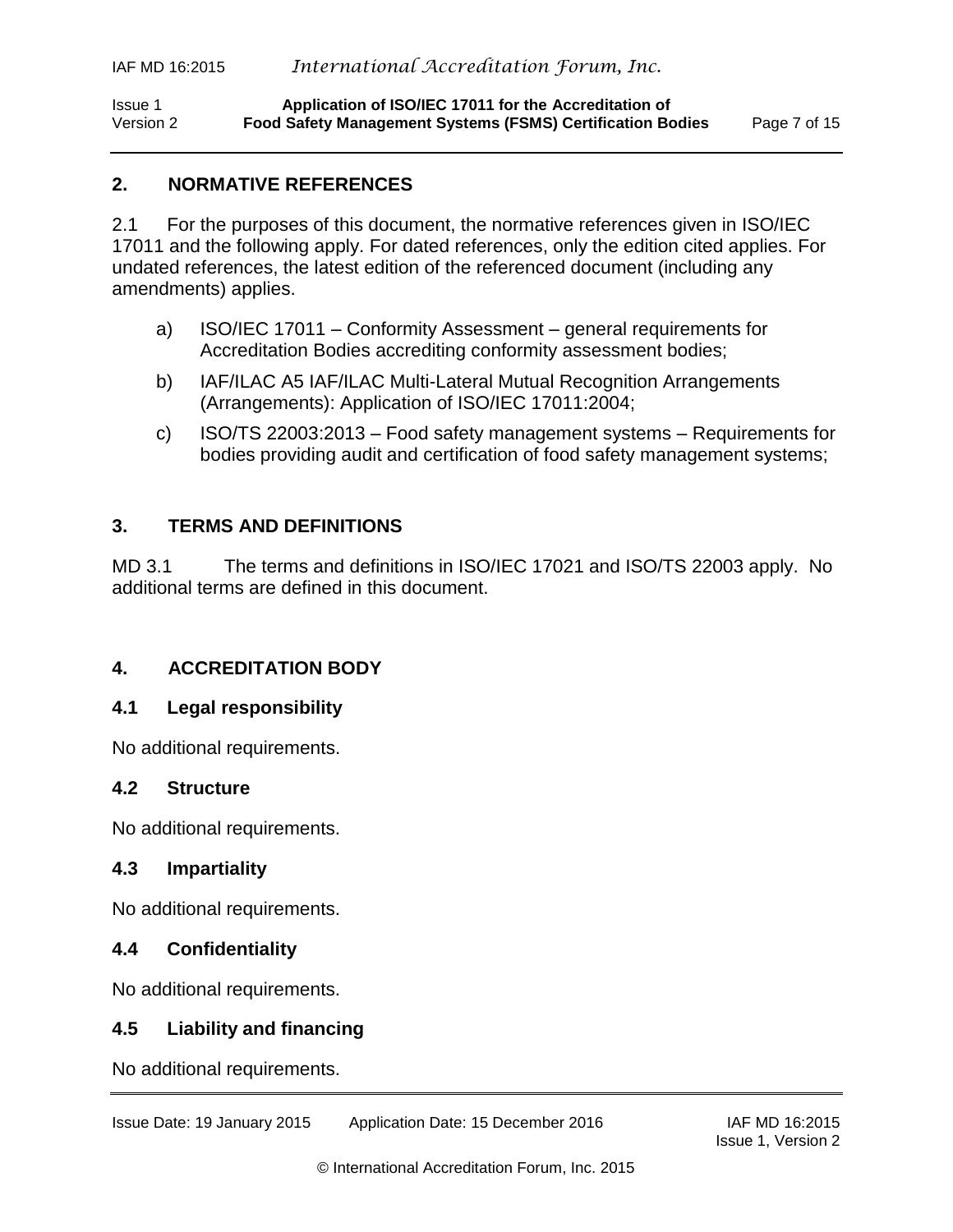## <span id="page-6-0"></span>**2. NORMATIVE REFERENCES**

2.1 For the purposes of this document, the normative references given in ISO/IEC 17011 and the following apply. For dated references, only the edition cited applies. For undated references, the latest edition of the referenced document (including any amendments) applies.

- a) ISO/IEC 17011 Conformity Assessment general requirements for Accreditation Bodies accrediting conformity assessment bodies;
- b) IAF/ILAC A5 IAF/ILAC Multi-Lateral Mutual Recognition Arrangements (Arrangements): Application of ISO/IEC 17011:2004;
- c) ISO/TS 22003:2013 Food safety management systems Requirements for bodies providing audit and certification of food safety management systems;

## <span id="page-6-1"></span>**3. TERMS AND DEFINITIONS**

MD 3.1 The terms and definitions in ISO/IEC 17021 and ISO/TS 22003 apply. No additional terms are defined in this document.

## <span id="page-6-2"></span>**4. ACCREDITATION BODY**

## <span id="page-6-3"></span>**4.1 Legal responsibility**

No additional requirements.

## <span id="page-6-4"></span>**4.2 Structure**

No additional requirements.

## <span id="page-6-5"></span>**4.3 Impartiality**

No additional requirements.

## <span id="page-6-6"></span>**4.4 Confidentiality**

No additional requirements.

## <span id="page-6-7"></span>**4.5 Liability and financing**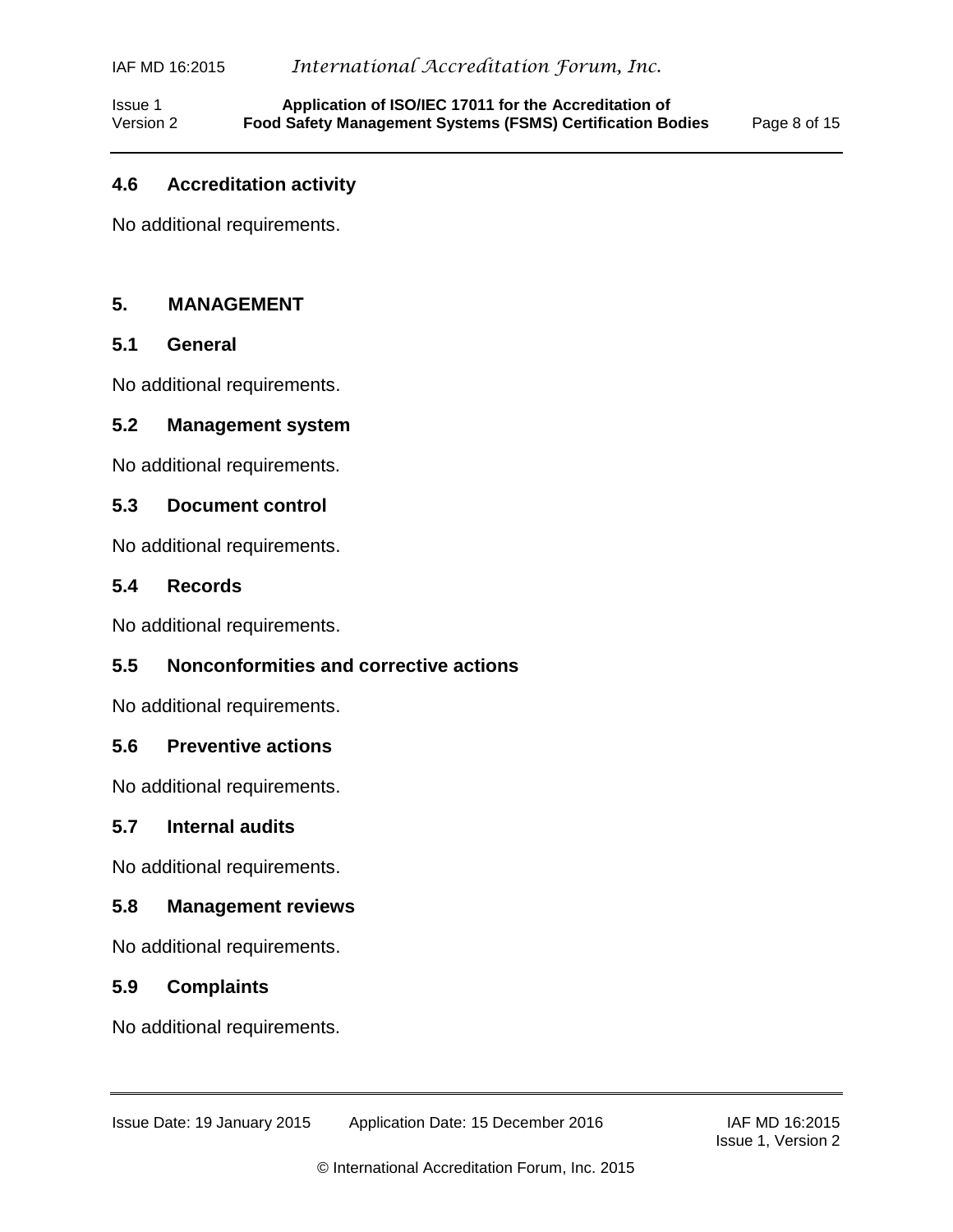Issue 1 **Application of ISO/IEC 17011 for the Accreditation of** Version 2 **Food Safety Management Systems (FSMS) Certification Bodies** Page 8 of 15

#### <span id="page-7-0"></span>**4.6 Accreditation activity**

No additional requirements.

#### <span id="page-7-1"></span>**5. MANAGEMENT**

### <span id="page-7-2"></span>**5.1 General**

No additional requirements.

#### <span id="page-7-3"></span>**5.2 Management system**

No additional requirements.

#### <span id="page-7-4"></span>**5.3 Document control**

No additional requirements.

#### <span id="page-7-5"></span>**5.4 Records**

No additional requirements.

#### <span id="page-7-6"></span>**5.5 Nonconformities and corrective actions**

No additional requirements.

#### <span id="page-7-7"></span>**5.6 Preventive actions**

No additional requirements.

#### <span id="page-7-8"></span>**5.7 Internal audits**

No additional requirements.

#### <span id="page-7-9"></span>**5.8 Management reviews**

No additional requirements.

#### <span id="page-7-10"></span>**5.9 Complaints**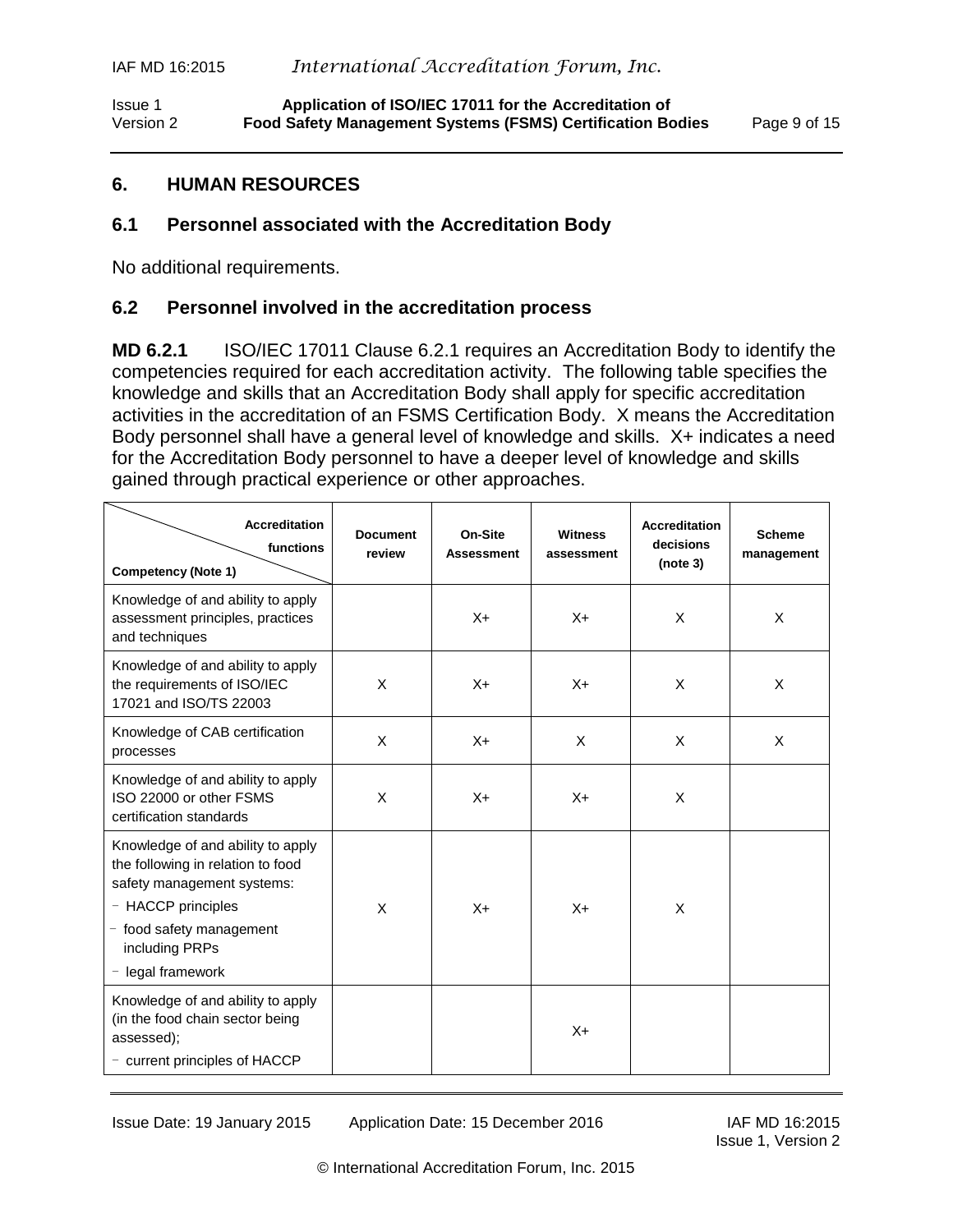Issue 1 **Application of ISO/IEC 17011 for the Accreditation of** Version 2 **Food Safety Management Systems (FSMS) Certification Bodies** Page 9 of 15

### <span id="page-8-0"></span>**6. HUMAN RESOURCES**

### <span id="page-8-1"></span>**6.1 Personnel associated with the Accreditation Body**

No additional requirements.

#### <span id="page-8-2"></span>**6.2 Personnel involved in the accreditation process**

**MD 6.2.1** ISO/IEC 17011 Clause 6.2.1 requires an Accreditation Body to identify the competencies required for each accreditation activity. The following table specifies the knowledge and skills that an Accreditation Body shall apply for specific accreditation activities in the accreditation of an FSMS Certification Body. X means the Accreditation Body personnel shall have a general level of knowledge and skills. X+ indicates a need for the Accreditation Body personnel to have a deeper level of knowledge and skills gained through practical experience or other approaches.

| <b>Accreditation</b><br>functions<br><b>Competency (Note 1)</b>                                                                                                                               | <b>Document</b><br>review | On-Site<br><b>Assessment</b> | <b>Witness</b><br>assessment | <b>Accreditation</b><br>decisions<br>(note 3) | <b>Scheme</b><br>management |
|-----------------------------------------------------------------------------------------------------------------------------------------------------------------------------------------------|---------------------------|------------------------------|------------------------------|-----------------------------------------------|-----------------------------|
| Knowledge of and ability to apply<br>assessment principles, practices<br>and techniques                                                                                                       |                           | $X +$                        | $X +$                        | X                                             | X                           |
| Knowledge of and ability to apply<br>the requirements of ISO/IEC<br>17021 and ISO/TS 22003                                                                                                    | X                         | $X +$                        | $X +$                        | X                                             | X                           |
| Knowledge of CAB certification<br>processes                                                                                                                                                   | X                         | $X +$                        | X                            | X                                             | X                           |
| Knowledge of and ability to apply<br>ISO 22000 or other FSMS<br>certification standards                                                                                                       | X                         | $X +$                        | $X +$                        | X                                             |                             |
| Knowledge of and ability to apply<br>the following in relation to food<br>safety management systems:<br>- HACCP principles<br>- food safety management<br>including PRPs<br>- legal framework | X                         | $X +$                        | $X +$                        | X                                             |                             |
| Knowledge of and ability to apply<br>(in the food chain sector being<br>assessed);<br>- current principles of HACCP                                                                           |                           |                              | $X +$                        |                                               |                             |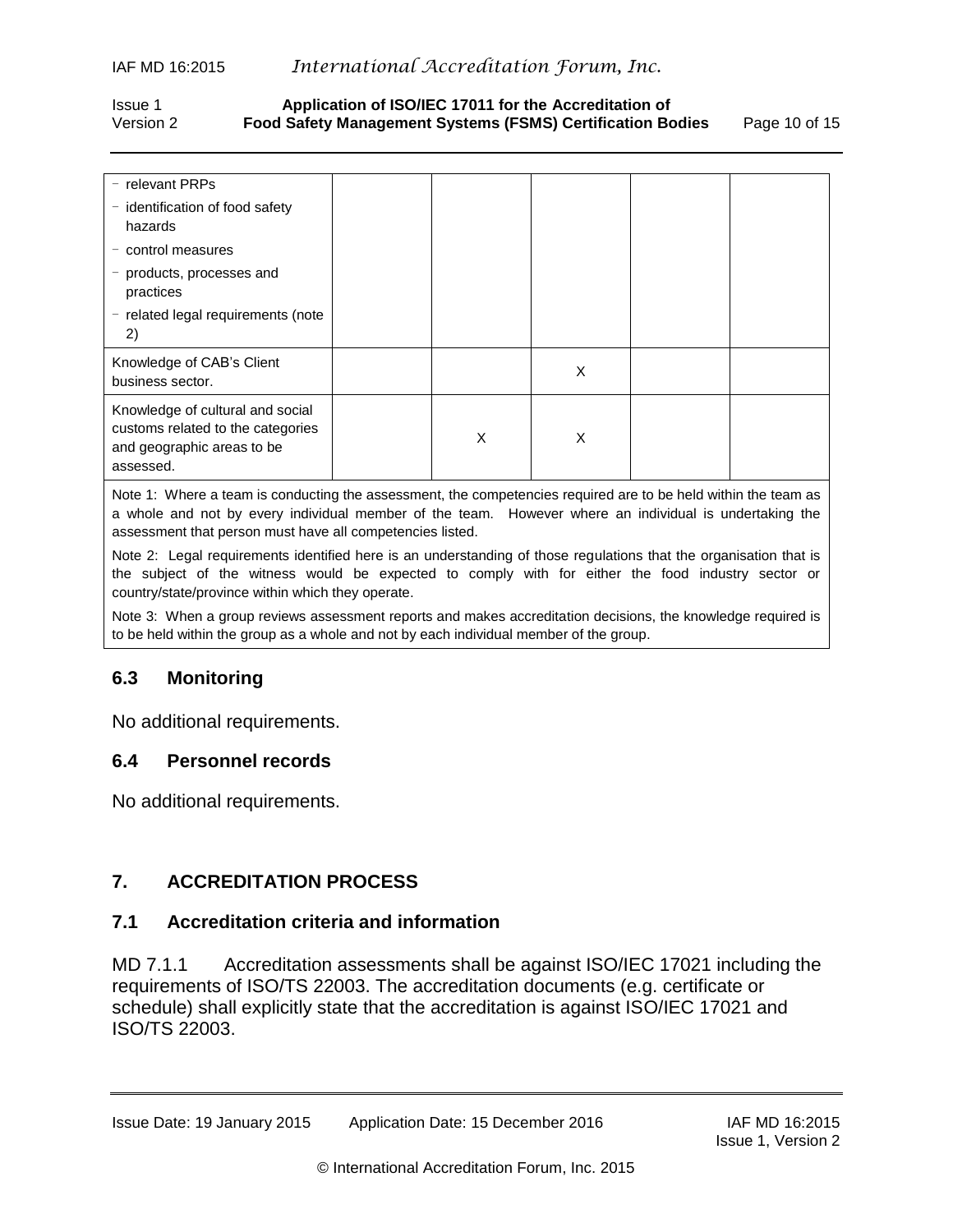#### Issue 1 **Application of ISO/IEC 17011 for the Accreditation of** Version 2 **Food Safety Management Systems (FSMS) Certification Bodies** Page 10 of 15

| $-$ relevant PRPs<br>- identification of food safety<br>hazards                                                  |   |   |  |
|------------------------------------------------------------------------------------------------------------------|---|---|--|
| - control measures                                                                                               |   |   |  |
| - products, processes and<br>practices                                                                           |   |   |  |
| - related legal requirements (note<br>2)                                                                         |   |   |  |
| Knowledge of CAB's Client<br>business sector.                                                                    |   | X |  |
| Knowledge of cultural and social<br>customs related to the categories<br>and geographic areas to be<br>assessed. | X | X |  |

Note 1: Where a team is conducting the assessment, the competencies required are to be held within the team as a whole and not by every individual member of the team. However where an individual is undertaking the assessment that person must have all competencies listed.

Note 2: Legal requirements identified here is an understanding of those regulations that the organisation that is the subject of the witness would be expected to comply with for either the food industry sector or country/state/province within which they operate.

Note 3: When a group reviews assessment reports and makes accreditation decisions, the knowledge required is to be held within the group as a whole and not by each individual member of the group.

## <span id="page-9-0"></span>**6.3 Monitoring**

No additional requirements.

#### <span id="page-9-1"></span>**6.4 Personnel records**

No additional requirements.

## <span id="page-9-2"></span>**7. ACCREDITATION PROCESS**

#### <span id="page-9-3"></span>**7.1 Accreditation criteria and information**

MD 7.1.1 Accreditation assessments shall be against ISO/IEC 17021 including the requirements of ISO/TS 22003. The accreditation documents (e.g. certificate or schedule) shall explicitly state that the accreditation is against ISO/IEC 17021 and ISO/TS 22003.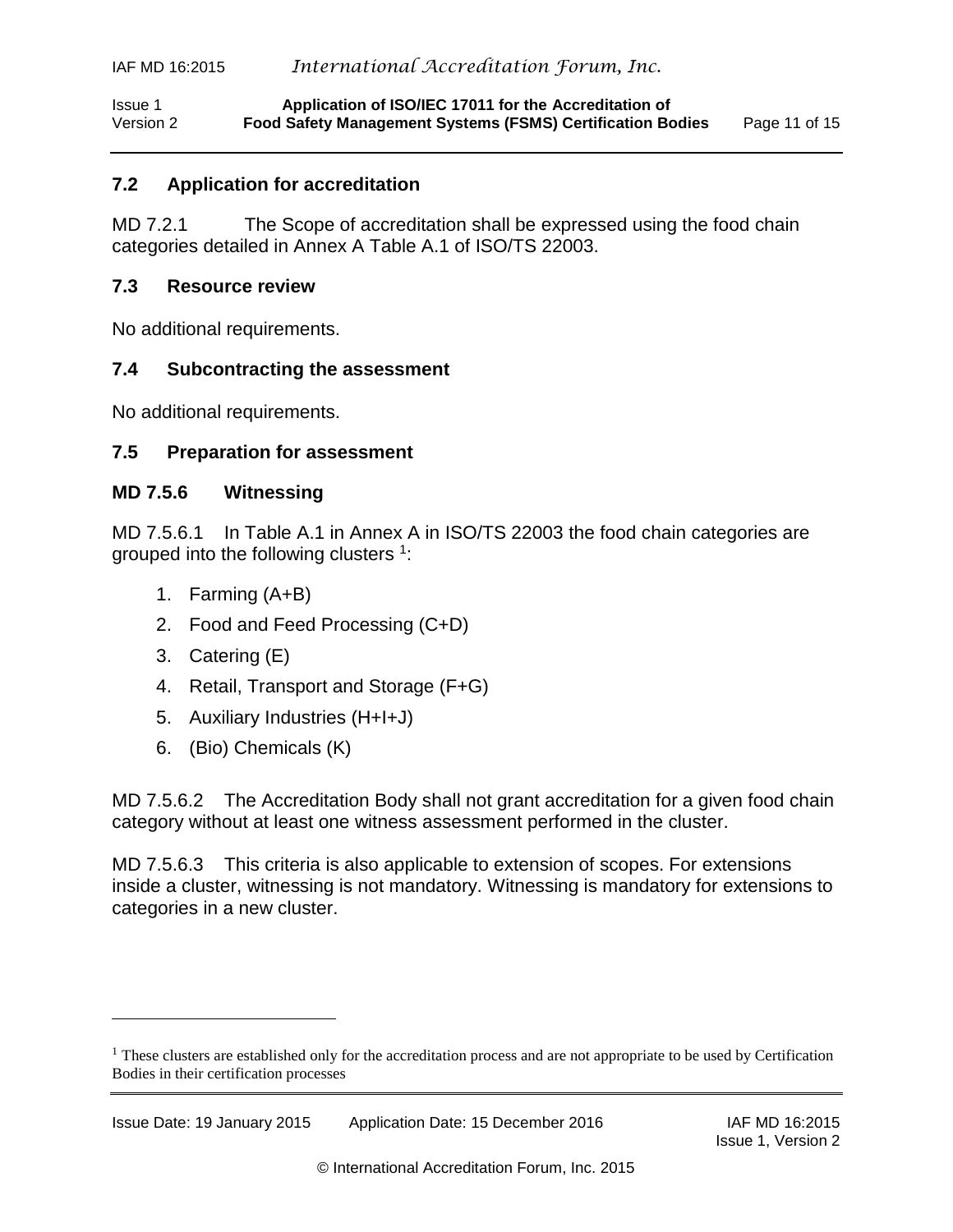Issue 1 **Application of ISO/IEC 17011 for the Accreditation of** Version 2 **Food Safety Management Systems (FSMS) Certification Bodies** Page 11 of 15

#### <span id="page-10-0"></span>**7.2 Application for accreditation**

MD 7.2.1 The Scope of accreditation shall be expressed using the food chain categories detailed in Annex A Table A.1 of ISO/TS 22003.

#### <span id="page-10-1"></span>**7.3 Resource review**

No additional requirements.

#### <span id="page-10-2"></span>**7.4 Subcontracting the assessment**

<span id="page-10-3"></span>No additional requirements.

#### **7.5 Preparation for assessment**

#### **MD 7.5.6 Witnessing**

MD 7.5.6.1 In Table A.1 in Annex A in ISO/TS 22003 the food chain categories are grouped into the following clusters  $1$ :

- 1. Farming (A+B)
- 2. Food and Feed Processing (C+D)
- 3. Catering (E)

l

- 4. Retail, Transport and Storage (F+G)
- 5. Auxiliary Industries (H+I+J)
- 6. (Bio) Chemicals (K)

MD 7.5.6.2 The Accreditation Body shall not grant accreditation for a given food chain category without at least one witness assessment performed in the cluster.

MD 7.5.6.3 This criteria is also applicable to extension of scopes. For extensions inside a cluster, witnessing is not mandatory. Witnessing is mandatory for extensions to categories in a new cluster.

 $<sup>1</sup>$  These clusters are established only for the accreditation process and are not appropriate to be used by Certification</sup> Bodies in their certification processes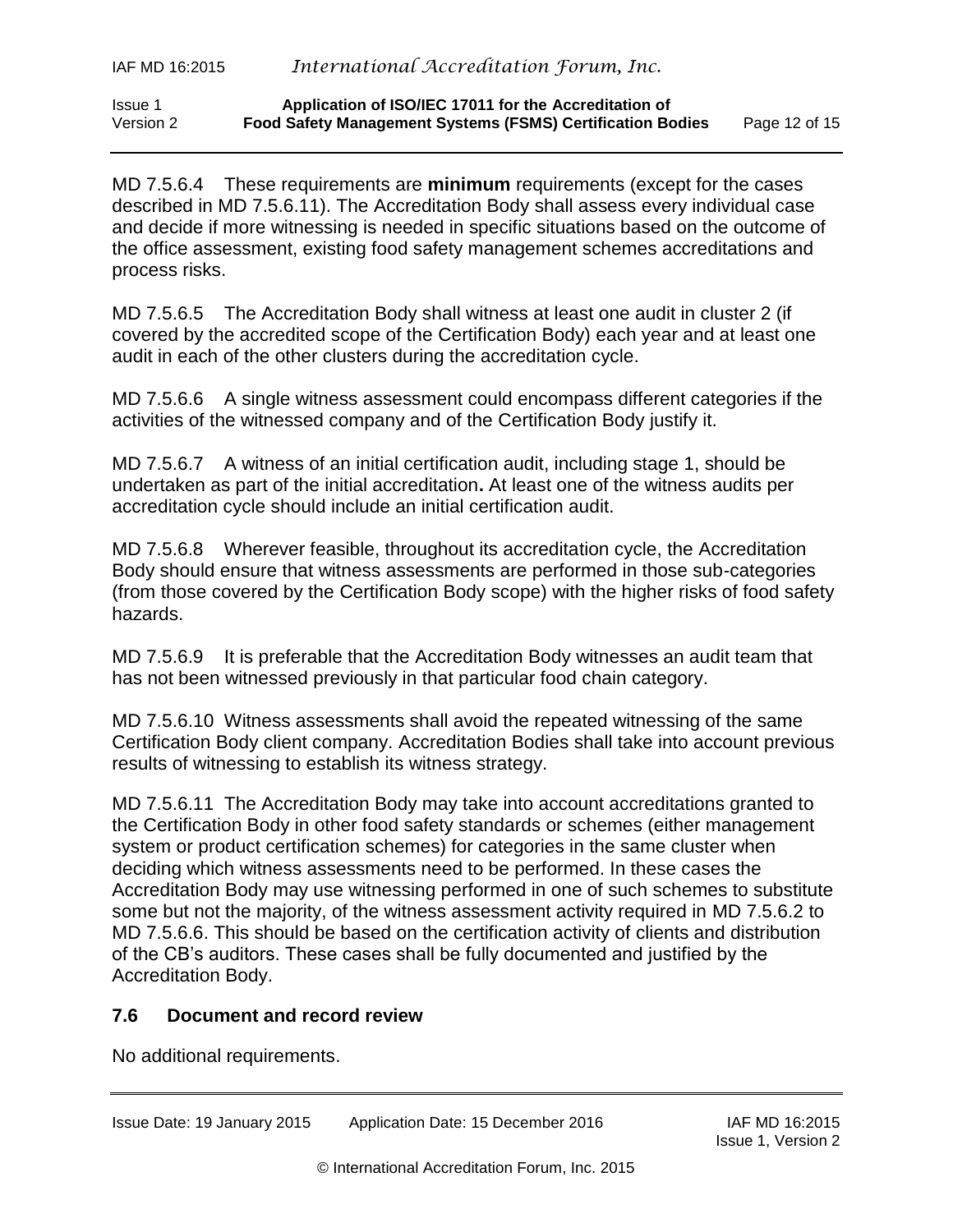#### Issue 1 **Application of ISO/IEC 17011 for the Accreditation of** Version 2 **Food Safety Management Systems (FSMS) Certification Bodies** Page 12 of 15

MD 7.5.6.4 These requirements are **minimum** requirements (except for the cases described in MD 7.5.6.11). The Accreditation Body shall assess every individual case and decide if more witnessing is needed in specific situations based on the outcome of the office assessment, existing food safety management schemes accreditations and process risks.

MD 7.5.6.5 The Accreditation Body shall witness at least one audit in cluster 2 (if covered by the accredited scope of the Certification Body) each year and at least one audit in each of the other clusters during the accreditation cycle.

MD 7.5.6.6 A single witness assessment could encompass different categories if the activities of the witnessed company and of the Certification Body justify it.

MD 7.5.6.7 A witness of an initial certification audit, including stage 1, should be undertaken as part of the initial accreditation**.** At least one of the witness audits per accreditation cycle should include an initial certification audit.

MD 7.5.6.8 Wherever feasible, throughout its accreditation cycle, the Accreditation Body should ensure that witness assessments are performed in those sub-categories (from those covered by the Certification Body scope) with the higher risks of food safety hazards.

MD 7.5.6.9 It is preferable that the Accreditation Body witnesses an audit team that has not been witnessed previously in that particular food chain category.

MD 7.5.6.10 Witness assessments shall avoid the repeated witnessing of the same Certification Body client company. Accreditation Bodies shall take into account previous results of witnessing to establish its witness strategy.

MD 7.5.6.11 The Accreditation Body may take into account accreditations granted to the Certification Body in other food safety standards or schemes (either management system or product certification schemes) for categories in the same cluster when deciding which witness assessments need to be performed. In these cases the Accreditation Body may use witnessing performed in one of such schemes to substitute some but not the majority, of the witness assessment activity required in MD 7.5.6.2 to MD 7.5.6.6. This should be based on the certification activity of clients and distribution of the CB's auditors. These cases shall be fully documented and justified by the Accreditation Body.

## <span id="page-11-0"></span>**7.6 Document and record review**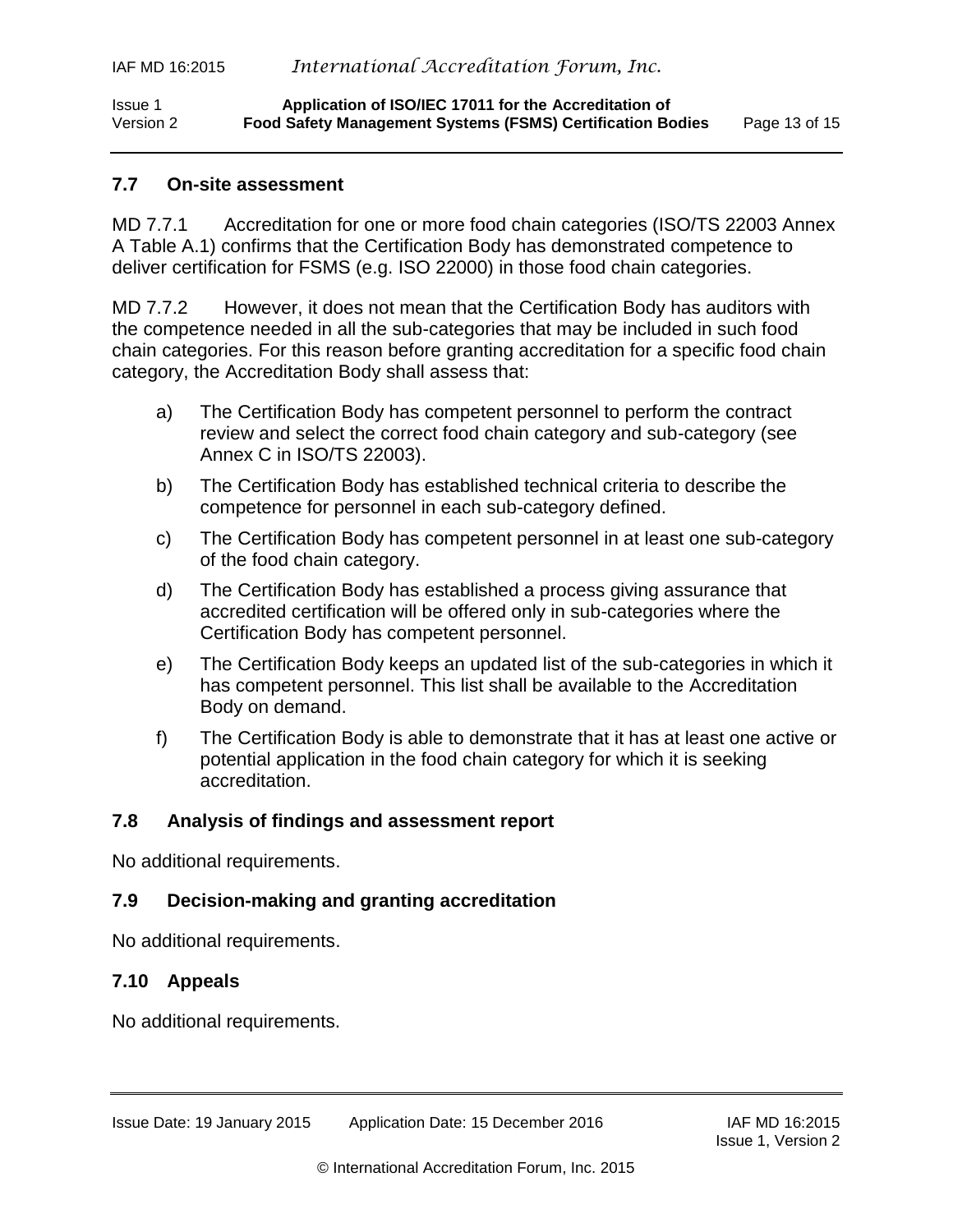## <span id="page-12-0"></span>**7.7 On-site assessment**

MD 7.7.1 Accreditation for one or more food chain categories (ISO/TS 22003 Annex A Table A.1) confirms that the Certification Body has demonstrated competence to deliver certification for FSMS (e.g. ISO 22000) in those food chain categories.

MD 7.7.2 However, it does not mean that the Certification Body has auditors with the competence needed in all the sub-categories that may be included in such food chain categories. For this reason before granting accreditation for a specific food chain category, the Accreditation Body shall assess that:

- a) The Certification Body has competent personnel to perform the contract review and select the correct food chain category and sub-category (see Annex C in ISO/TS 22003).
- b) The Certification Body has established technical criteria to describe the competence for personnel in each sub-category defined.
- c) The Certification Body has competent personnel in at least one sub-category of the food chain category.
- d) The Certification Body has established a process giving assurance that accredited certification will be offered only in sub-categories where the Certification Body has competent personnel.
- e) The Certification Body keeps an updated list of the sub-categories in which it has competent personnel. This list shall be available to the Accreditation Body on demand.
- f) The Certification Body is able to demonstrate that it has at least one active or potential application in the food chain category for which it is seeking accreditation.

## <span id="page-12-1"></span>**7.8 Analysis of findings and assessment report**

No additional requirements.

# <span id="page-12-2"></span>**7.9 Decision-making and granting accreditation**

No additional requirements.

# <span id="page-12-3"></span>**7.10 Appeals**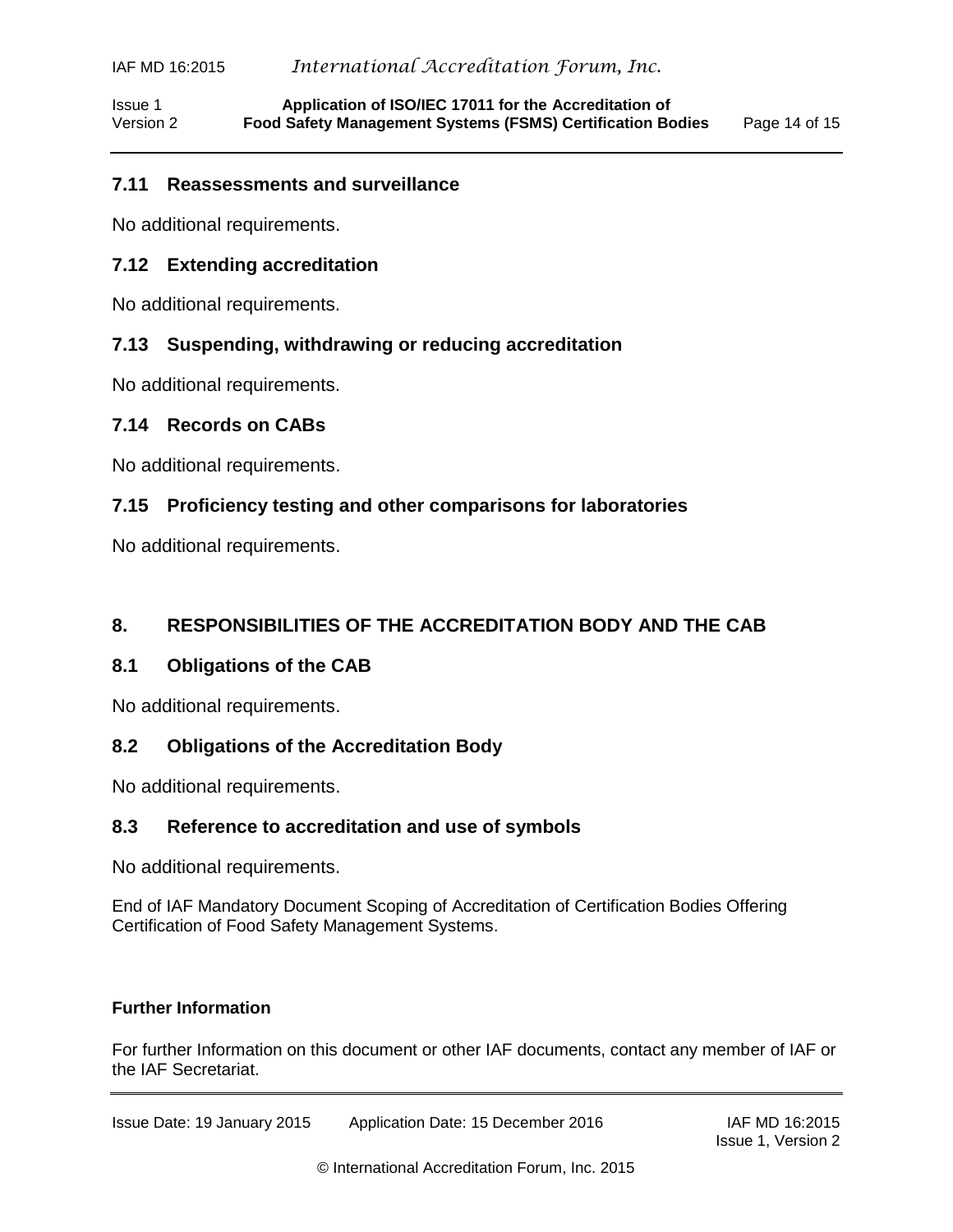Issue 1 **Application of ISO/IEC 17011 for the Accreditation of** Version 2 **Food Safety Management Systems (FSMS) Certification Bodies** Page 14 of 15

#### <span id="page-13-0"></span>**7.11 Reassessments and surveillance**

No additional requirements.

#### <span id="page-13-1"></span>**7.12 Extending accreditation**

No additional requirements.

#### <span id="page-13-2"></span>**7.13 Suspending, withdrawing or reducing accreditation**

No additional requirements.

#### <span id="page-13-3"></span>**7.14 Records on CABs**

No additional requirements.

#### <span id="page-13-4"></span>**7.15 Proficiency testing and other comparisons for laboratories**

No additional requirements.

#### <span id="page-13-5"></span>**8. RESPONSIBILITIES OF THE ACCREDITATION BODY AND THE CAB**

#### <span id="page-13-6"></span>**8.1 Obligations of the CAB**

No additional requirements.

#### <span id="page-13-7"></span>**8.2 Obligations of the Accreditation Body**

No additional requirements.

#### <span id="page-13-8"></span>**8.3 Reference to accreditation and use of symbols**

No additional requirements.

End of IAF Mandatory Document Scoping of Accreditation of Certification Bodies Offering Certification of Food Safety Management Systems.

#### **Further Information**

For further Information on this document or other IAF documents, contact any member of IAF or the IAF Secretariat.

Issue Date: 19 January 2015 Application Date: 15 December 2016 IAF MD 16:2015

Issue 1, Version 2